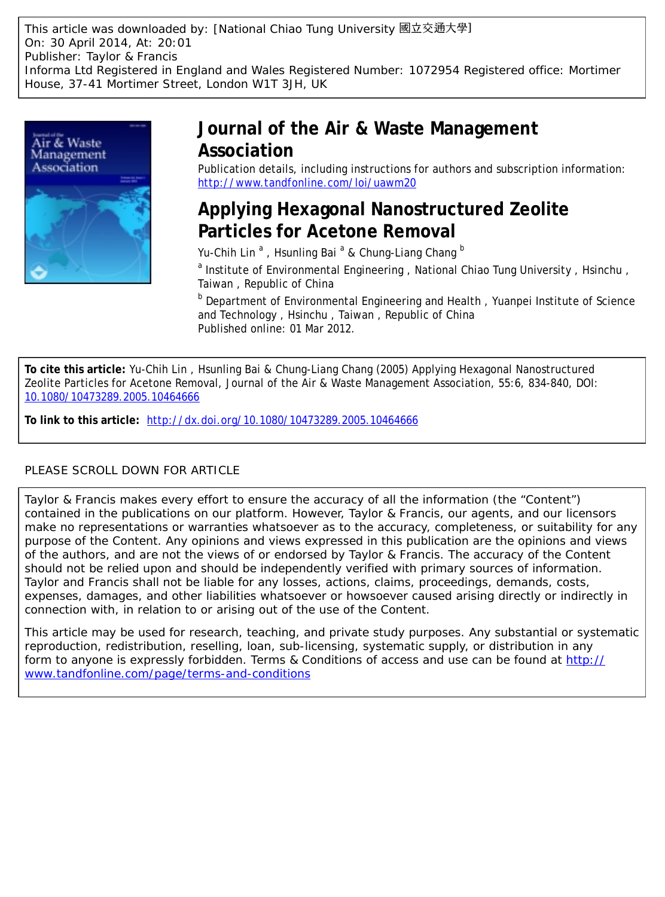This article was downloaded by: [National Chiao Tung University 國立交通大學] On: 30 April 2014, At: 20:01 Publisher: Taylor & Francis Informa Ltd Registered in England and Wales Registered Number: 1072954 Registered office: Mortimer House, 37-41 Mortimer Street, London W1T 3JH, UK



# **Journal of the Air & Waste Management Association**

Publication details, including instructions for authors and subscription information: <http://www.tandfonline.com/loi/uawm20>

# **Applying Hexagonal Nanostructured Zeolite Particles for Acetone Removal**

Yu-Chih Lin<sup>a</sup>, Hsunling Bai<sup>a</sup> & Chung-Liang Chang <sup>b</sup>

a Institute of Environmental Engineering, National Chiao Tung University, Hsinchu, Taiwan , Republic of China

**b** Department of Environmental Engineering and Health, Yuanpei Institute of Science and Technology , Hsinchu , Taiwan , Republic of China Published online: 01 Mar 2012.

**To cite this article:** Yu-Chih Lin , Hsunling Bai & Chung-Liang Chang (2005) Applying Hexagonal Nanostructured Zeolite Particles for Acetone Removal, Journal of the Air & Waste Management Association, 55:6, 834-840, DOI: [10.1080/10473289.2005.10464666](http://www.tandfonline.com/action/showCitFormats?doi=10.1080/10473289.2005.10464666)

**To link to this article:** <http://dx.doi.org/10.1080/10473289.2005.10464666>

# PLEASE SCROLL DOWN FOR ARTICLE

Taylor & Francis makes every effort to ensure the accuracy of all the information (the "Content") contained in the publications on our platform. However, Taylor & Francis, our agents, and our licensors make no representations or warranties whatsoever as to the accuracy, completeness, or suitability for any purpose of the Content. Any opinions and views expressed in this publication are the opinions and views of the authors, and are not the views of or endorsed by Taylor & Francis. The accuracy of the Content should not be relied upon and should be independently verified with primary sources of information. Taylor and Francis shall not be liable for any losses, actions, claims, proceedings, demands, costs, expenses, damages, and other liabilities whatsoever or howsoever caused arising directly or indirectly in connection with, in relation to or arising out of the use of the Content.

This article may be used for research, teaching, and private study purposes. Any substantial or systematic reproduction, redistribution, reselling, loan, sub-licensing, systematic supply, or distribution in any form to anyone is expressly forbidden. Terms & Conditions of access and use can be found at [http://](http://www.tandfonline.com/page/terms-and-conditions) [www.tandfonline.com/page/terms-and-conditions](http://www.tandfonline.com/page/terms-and-conditions)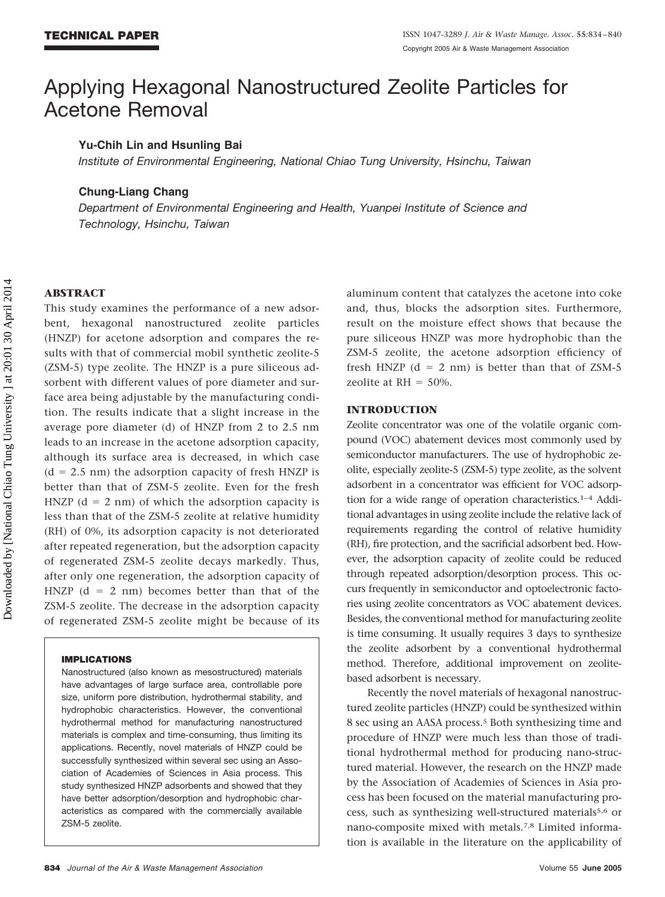# Applying Hexagonal Nanostructured Zeolite Particles for Acetone Removal

# **Yu-Chih Lin and Hsunling Bai**

*Institute of Environmental Engineering, National Chiao Tung University, Hsinchu, Taiwan*

### **Chung-Liang Chang**

*Department of Environmental Engineering and Health, Yuanpei Institute of Science and Technology, Hsinchu, Taiwan*

## **ABSTRACT**

This study examines the performance of a new adsorbent, hexagonal nanostructured zeolite particles (HNZP) for acetone adsorption and compares the results with that of commercial mobil synthetic zeolite-5 (ZSM-5) type zeolite. The HNZP is a pure siliceous adsorbent with different values of pore diameter and surface area being adjustable by the manufacturing condition. The results indicate that a slight increase in the average pore diameter (d) of HNZP from 2 to 2.5 nm leads to an increase in the acetone adsorption capacity, although its surface area is decreased, in which case  $(d = 2.5 \text{ nm})$  the adsorption capacity of fresh HNZP is better than that of ZSM-5 zeolite. Even for the fresh HNZP  $(d = 2 \text{ nm})$  of which the adsorption capacity is less than that of the ZSM-5 zeolite at relative humidity (RH) of 0%, its adsorption capacity is not deteriorated after repeated regeneration, but the adsorption capacity of regenerated ZSM-5 zeolite decays markedly. Thus, after only one regeneration, the adsorption capacity of HNZP  $(d = 2$  nm) becomes better than that of the ZSM-5 zeolite. The decrease in the adsorption capacity of regenerated ZSM-5 zeolite might be because of its

#### **IMPLICATIONS**

Nanostructured (also known as mesostructured) materials have advantages of large surface area, controllable pore size, uniform pore distribution, hydrothermal stability, and hydrophobic characteristics. However, the conventional hydrothermal method for manufacturing nanostructured materials is complex and time-consuming, thus limiting its applications. Recently, novel materials of HNZP could be successfully synthesized within several sec using an Association of Academies of Sciences in Asia process. This study synthesized HNZP adsorbents and showed that they have better adsorption/desorption and hydrophobic characteristics as compared with the commercially available ZSM-5 zeolite.

aluminum content that catalyzes the acetone into coke and, thus, blocks the adsorption sites. Furthermore, result on the moisture effect shows that because the pure siliceous HNZP was more hydrophobic than the ZSM-5 zeolite, the acetone adsorption efficiency of fresh HNZP ( $d = 2$  nm) is better than that of ZSM-5 zeolite at  $RH = 50\%$ .

#### **INTRODUCTION**

Zeolite concentrator was one of the volatile organic compound (VOC) abatement devices most commonly used by semiconductor manufacturers. The use of hydrophobic zeolite, especially zeolite-5 (ZSM-5) type zeolite, as the solvent adsorbent in a concentrator was efficient for VOC adsorption for a wide range of operation characteristics.1–4 Additional advantages in using zeolite include the relative lack of requirements regarding the control of relative humidity (RH), fire protection, and the sacrificial adsorbent bed. However, the adsorption capacity of zeolite could be reduced through repeated adsorption/desorption process. This occurs frequently in semiconductor and optoelectronic factories using zeolite concentrators as VOC abatement devices. Besides, the conventional method for manufacturing zeolite is time consuming. It usually requires 3 days to synthesize the zeolite adsorbent by a conventional hydrothermal method. Therefore, additional improvement on zeolitebased adsorbent is necessary.

Recently the novel materials of hexagonal nanostructured zeolite particles (HNZP) could be synthesized within 8 sec using an AASA process.5 Both synthesizing time and procedure of HNZP were much less than those of traditional hydrothermal method for producing nano-structured material. However, the research on the HNZP made by the Association of Academies of Sciences in Asia process has been focused on the material manufacturing process, such as synthesizing well-structured materials<sup>5,6</sup> or nano-composite mixed with metals.7,8 Limited information is available in the literature on the applicability of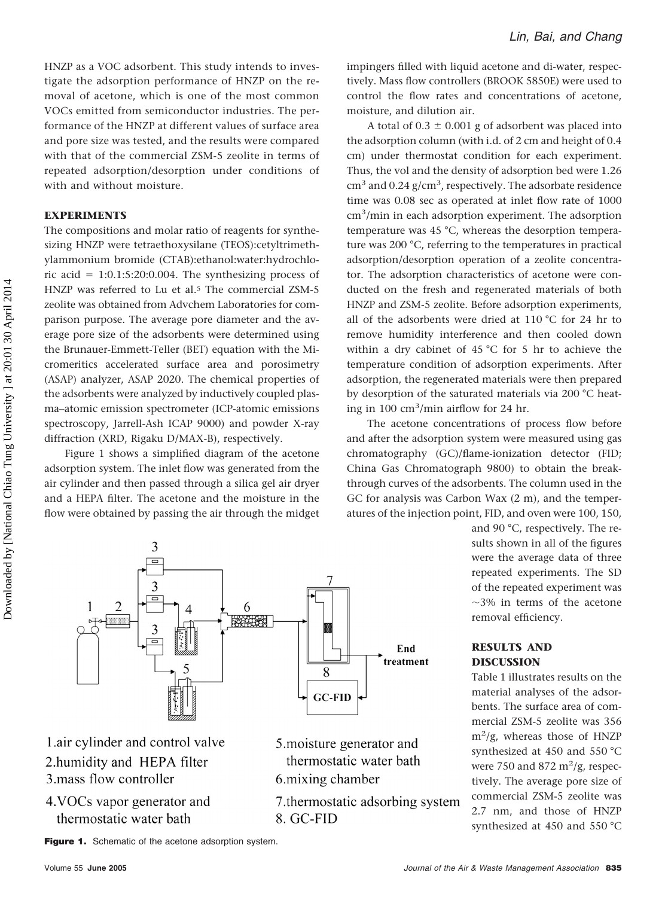HNZP as a VOC adsorbent. This study intends to investigate the adsorption performance of HNZP on the removal of acetone, which is one of the most common VOCs emitted from semiconductor industries. The performance of the HNZP at different values of surface area and pore size was tested, and the results were compared with that of the commercial ZSM-5 zeolite in terms of repeated adsorption/desorption under conditions of with and without moisture.

### **EXPERIMENTS**

The compositions and molar ratio of reagents for synthesizing HNZP were tetraethoxysilane (TEOS):cetyltrimethylammonium bromide (CTAB):ethanol:water:hydrochloric acid  $= 1:0.1:5:20:0.004$ . The synthesizing process of HNZP was referred to Lu et al.5 The commercial ZSM-5 zeolite was obtained from Advchem Laboratories for comparison purpose. The average pore diameter and the average pore size of the adsorbents were determined using the Brunauer-Emmett-Teller (BET) equation with the Micromeritics accelerated surface area and porosimetry (ASAP) analyzer, ASAP 2020. The chemical properties of the adsorbents were analyzed by inductively coupled plasma–atomic emission spectrometer (ICP-atomic emissions spectroscopy, Jarrell-Ash ICAP 9000) and powder X-ray diffraction (XRD, Rigaku D/MAX-B), respectively.

Figure 1 shows a simplified diagram of the acetone adsorption system. The inlet flow was generated from the air cylinder and then passed through a silica gel air dryer and a HEPA filter. The acetone and the moisture in the flow were obtained by passing the air through the midget impingers filled with liquid acetone and di-water, respectively. Mass flow controllers (BROOK 5850E) were used to control the flow rates and concentrations of acetone, moisture, and dilution air.

A total of  $0.3 \pm 0.001$  g of adsorbent was placed into the adsorption column (with i.d. of 2 cm and height of 0.4 cm) under thermostat condition for each experiment. Thus, the vol and the density of adsorption bed were 1.26  $\rm cm^3$  and 0.24 g/cm<sup>3</sup>, respectively. The adsorbate residence time was 0.08 sec as operated at inlet flow rate of 1000 cm<sup>3</sup>/min in each adsorption experiment. The adsorption temperature was 45 °C, whereas the desorption temperature was 200 °C, referring to the temperatures in practical adsorption/desorption operation of a zeolite concentrator. The adsorption characteristics of acetone were conducted on the fresh and regenerated materials of both HNZP and ZSM-5 zeolite. Before adsorption experiments, all of the adsorbents were dried at 110 °C for 24 hr to remove humidity interference and then cooled down within a dry cabinet of 45 °C for 5 hr to achieve the temperature condition of adsorption experiments. After adsorption, the regenerated materials were then prepared by desorption of the saturated materials via 200 °C heating in 100 cm3 /min airflow for 24 hr.

The acetone concentrations of process flow before and after the adsorption system were measured using gas chromatography (GC)/flame-ionization detector (FID; China Gas Chromatograph 9800) to obtain the breakthrough curves of the adsorbents. The column used in the GC for analysis was Carbon Wax (2 m), and the temperatures of the injection point, FID, and oven were 100, 150,



1.air cylinder and control valve 2.humidity and HEPA filter 3.mass flow controller

4. VOCs vapor generator and thermostatic water bath

5. moisture generator and thermostatic water bath 6. mixing chamber

7. thermostatic adsorbing system 8. GC-FID

and 90 °C, respectively. The results shown in all of the figures were the average data of three repeated experiments. The SD of the repeated experiment was  $\sim$ 3% in terms of the acetone removal efficiency.

### **RESULTS AND DISCUSSION**

Table 1 illustrates results on the material analyses of the adsorbents. The surface area of commercial ZSM-5 zeolite was 356 m2 /g, whereas those of HNZP synthesized at 450 and 550 °C were 750 and 872  $\mathrm{m}^2/\mathrm{g}$ , respectively. The average pore size of commercial ZSM-5 zeolite was 2.7 nm, and those of HNZP synthesized at 450 and 550 °C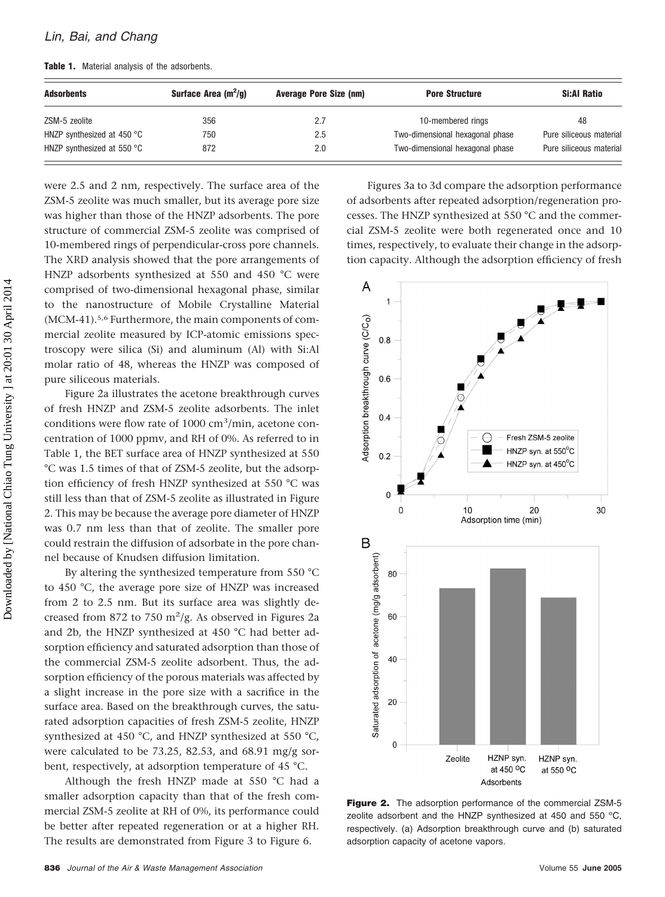|  |  |  |  |  |  | Table 1. Material analysis of the adsorbents. |
|--|--|--|--|--|--|-----------------------------------------------|
|--|--|--|--|--|--|-----------------------------------------------|

| <b>Adsorbents</b>                    | Surface Area $(m^2/q)$ | <b>Average Pore Size (nm)</b> | <b>Pore Structure</b>           | <b>Si:Al Ratio</b>      |
|--------------------------------------|------------------------|-------------------------------|---------------------------------|-------------------------|
| ZSM-5 zeolite                        | 356                    | 2.7                           | 10-membered rings               | 48                      |
| HNZP synthesized at 450 $^{\circ}$ C | 750                    | $2.5\,$                       | Two-dimensional hexagonal phase | Pure siliceous material |
| HNZP synthesized at 550 $\degree$ C  | 872                    | 2.0                           | Two-dimensional hexagonal phase | Pure siliceous material |

were 2.5 and 2 nm, respectively. The surface area of the ZSM-5 zeolite was much smaller, but its average pore size was higher than those of the HNZP adsorbents. The pore structure of commercial ZSM-5 zeolite was comprised of 10-membered rings of perpendicular-cross pore channels. The XRD analysis showed that the pore arrangements of HNZP adsorbents synthesized at 550 and 450 °C were comprised of two-dimensional hexagonal phase, similar to the nanostructure of Mobile Crystalline Material (MCM-41).5,6 Furthermore, the main components of commercial zeolite measured by ICP-atomic emissions spectroscopy were silica (Si) and aluminum (Al) with Si:Al molar ratio of 48, whereas the HNZP was composed of pure siliceous materials.

Figure 2a illustrates the acetone breakthrough curves of fresh HNZP and ZSM-5 zeolite adsorbents. The inlet conditions were flow rate of 1000 cm<sup>3</sup>/min, acetone concentration of 1000 ppmv, and RH of 0%. As referred to in Table 1, the BET surface area of HNZP synthesized at 550 °C was 1.5 times of that of ZSM-5 zeolite, but the adsorption efficiency of fresh HNZP synthesized at 550 °C was still less than that of ZSM-5 zeolite as illustrated in Figure 2. This may be because the average pore diameter of HNZP was 0.7 nm less than that of zeolite. The smaller pore could restrain the diffusion of adsorbate in the pore channel because of Knudsen diffusion limitation.

By altering the synthesized temperature from 550 °C to 450 °C, the average pore size of HNZP was increased from 2 to 2.5 nm. But its surface area was slightly decreased from 872 to 750  $\mathrm{m}^2/\mathrm{g}$ . As observed in Figures 2a and 2b, the HNZP synthesized at 450 °C had better adsorption efficiency and saturated adsorption than those of the commercial ZSM-5 zeolite adsorbent. Thus, the adsorption efficiency of the porous materials was affected by a slight increase in the pore size with a sacrifice in the surface area. Based on the breakthrough curves, the saturated adsorption capacities of fresh ZSM-5 zeolite, HNZP synthesized at 450 °C, and HNZP synthesized at 550 °C, were calculated to be 73.25, 82.53, and 68.91 mg/g sorbent, respectively, at adsorption temperature of 45 °C.

Although the fresh HNZP made at 550 °C had a smaller adsorption capacity than that of the fresh commercial ZSM-5 zeolite at RH of 0%, its performance could be better after repeated regeneration or at a higher RH. The results are demonstrated from Figure 3 to Figure 6.

Figures 3a to 3d compare the adsorption performance of adsorbents after repeated adsorption/regeneration processes. The HNZP synthesized at 550 °C and the commercial ZSM-5 zeolite were both regenerated once and 10 times, respectively, to evaluate their change in the adsorption capacity. Although the adsorption efficiency of fresh



**Figure 2.** The adsorption performance of the commercial ZSM-5 zeolite adsorbent and the HNZP synthesized at 450 and 550  $^{\circ}$ C, respectively. (a) Adsorption breakthrough curve and (b) saturated adsorption capacity of acetone vapors.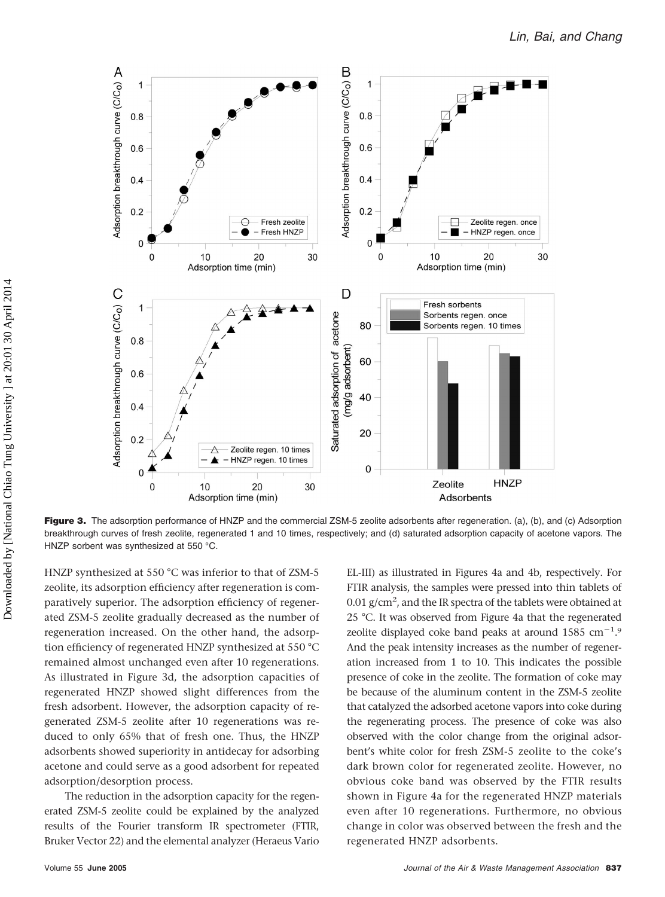

**Figure 3.** The adsorption performance of HNZP and the commercial ZSM-5 zeolite adsorbents after regeneration. (a), (b), and (c) Adsorption breakthrough curves of fresh zeolite, regenerated 1 and 10 times, respectively; and (d) saturated adsorption capacity of acetone vapors. The HNZP sorbent was synthesized at 550 °C.

HNZP synthesized at 550 °C was inferior to that of ZSM-5 zeolite, its adsorption efficiency after regeneration is comparatively superior. The adsorption efficiency of regenerated ZSM-5 zeolite gradually decreased as the number of regeneration increased. On the other hand, the adsorption efficiency of regenerated HNZP synthesized at 550 °C remained almost unchanged even after 10 regenerations. As illustrated in Figure 3d, the adsorption capacities of regenerated HNZP showed slight differences from the fresh adsorbent. However, the adsorption capacity of regenerated ZSM-5 zeolite after 10 regenerations was reduced to only 65% that of fresh one. Thus, the HNZP adsorbents showed superiority in antidecay for adsorbing acetone and could serve as a good adsorbent for repeated adsorption/desorption process.

The reduction in the adsorption capacity for the regenerated ZSM-5 zeolite could be explained by the analyzed results of the Fourier transform IR spectrometer (FTIR, Bruker Vector 22) and the elemental analyzer (Heraeus Vario

EL-III) as illustrated in Figures 4a and 4b, respectively. For FTIR analysis, the samples were pressed into thin tablets of  $0.01$  g/cm<sup>2</sup>, and the IR spectra of the tablets were obtained at 25 °C. It was observed from Figure 4a that the regenerated zeolite displayed coke band peaks at around  $1585 \text{ cm}^{-1}.9$ And the peak intensity increases as the number of regeneration increased from 1 to 10. This indicates the possible presence of coke in the zeolite. The formation of coke may be because of the aluminum content in the ZSM-5 zeolite that catalyzed the adsorbed acetone vapors into coke during the regenerating process. The presence of coke was also observed with the color change from the original adsorbent's white color for fresh ZSM-5 zeolite to the coke's dark brown color for regenerated zeolite. However, no obvious coke band was observed by the FTIR results shown in Figure 4a for the regenerated HNZP materials even after 10 regenerations. Furthermore, no obvious change in color was observed between the fresh and the regenerated HNZP adsorbents.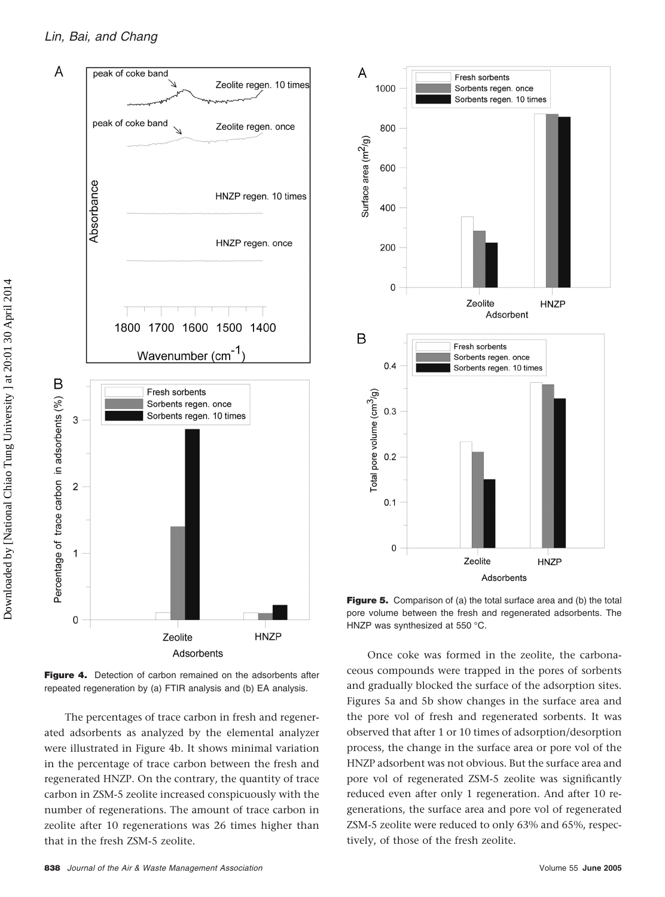## *Lin, Bai, and Chang*



**Figure 4.** Detection of carbon remained on the adsorbents after repeated regeneration by (a) FTIR analysis and (b) EA analysis.

The percentages of trace carbon in fresh and regenerated adsorbents as analyzed by the elemental analyzer were illustrated in Figure 4b. It shows minimal variation in the percentage of trace carbon between the fresh and regenerated HNZP. On the contrary, the quantity of trace carbon in ZSM-5 zeolite increased conspicuously with the number of regenerations. The amount of trace carbon in zeolite after 10 regenerations was 26 times higher than that in the fresh ZSM-5 zeolite.



**Figure 5.** Comparison of (a) the total surface area and (b) the total pore volume between the fresh and regenerated adsorbents. The HNZP was synthesized at 550 °C.

Once coke was formed in the zeolite, the carbonaceous compounds were trapped in the pores of sorbents and gradually blocked the surface of the adsorption sites. Figures 5a and 5b show changes in the surface area and the pore vol of fresh and regenerated sorbents. It was observed that after 1 or 10 times of adsorption/desorption process, the change in the surface area or pore vol of the HNZP adsorbent was not obvious. But the surface area and pore vol of regenerated ZSM-5 zeolite was significantly reduced even after only 1 regeneration. And after 10 regenerations, the surface area and pore vol of regenerated ZSM-5 zeolite were reduced to only 63% and 65%, respectively, of those of the fresh zeolite.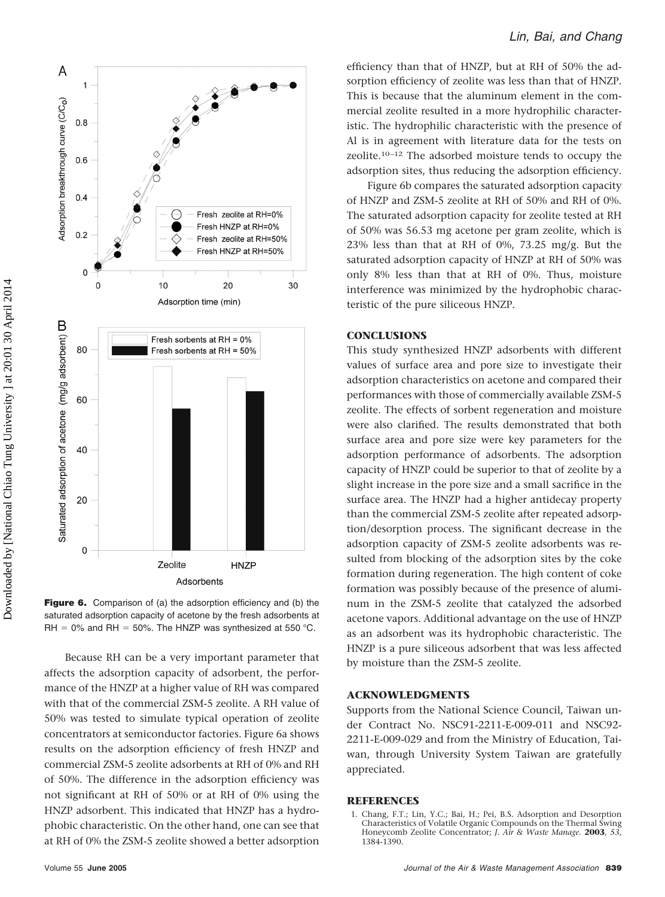

Figure 6. Comparison of (a) the adsorption efficiency and (b) the saturated adsorption capacity of acetone by the fresh adsorbents at RH = 0% and RH = 50%. The HNZP was synthesized at 550 °C.

Because RH can be a very important parameter that affects the adsorption capacity of adsorbent, the performance of the HNZP at a higher value of RH was compared with that of the commercial ZSM-5 zeolite. A RH value of 50% was tested to simulate typical operation of zeolite concentrators at semiconductor factories. Figure 6a shows results on the adsorption efficiency of fresh HNZP and commercial ZSM-5 zeolite adsorbents at RH of 0% and RH of 50%. The difference in the adsorption efficiency was not significant at RH of 50% or at RH of 0% using the HNZP adsorbent. This indicated that HNZP has a hydrophobic characteristic. On the other hand, one can see that at RH of 0% the ZSM-5 zeolite showed a better adsorption

efficiency than that of HNZP, but at RH of 50% the adsorption efficiency of zeolite was less than that of HNZP. This is because that the aluminum element in the commercial zeolite resulted in a more hydrophilic characteristic. The hydrophilic characteristic with the presence of Al is in agreement with literature data for the tests on zeolite.10 –12 The adsorbed moisture tends to occupy the adsorption sites, thus reducing the adsorption efficiency.

Figure 6b compares the saturated adsorption capacity of HNZP and ZSM-5 zeolite at RH of 50% and RH of 0%. The saturated adsorption capacity for zeolite tested at RH of 50% was 56.53 mg acetone per gram zeolite, which is 23% less than that at RH of 0%, 73.25 mg/g. But the saturated adsorption capacity of HNZP at RH of 50% was only 8% less than that at RH of 0%. Thus, moisture interference was minimized by the hydrophobic characteristic of the pure siliceous HNZP.

#### **CONCLUSIONS**

30

This study synthesized HNZP adsorbents with different values of surface area and pore size to investigate their adsorption characteristics on acetone and compared their performances with those of commercially available ZSM-5 zeolite. The effects of sorbent regeneration and moisture were also clarified. The results demonstrated that both surface area and pore size were key parameters for the adsorption performance of adsorbents. The adsorption capacity of HNZP could be superior to that of zeolite by a slight increase in the pore size and a small sacrifice in the surface area. The HNZP had a higher antidecay property than the commercial ZSM-5 zeolite after repeated adsorption/desorption process. The significant decrease in the adsorption capacity of ZSM-5 zeolite adsorbents was resulted from blocking of the adsorption sites by the coke formation during regeneration. The high content of coke formation was possibly because of the presence of aluminum in the ZSM-5 zeolite that catalyzed the adsorbed acetone vapors. Additional advantage on the use of HNZP as an adsorbent was its hydrophobic characteristic. The HNZP is a pure siliceous adsorbent that was less affected by moisture than the ZSM-5 zeolite.

#### **ACKNOWLEDGMENTS**

Supports from the National Science Council, Taiwan under Contract No. NSC91-2211-E-009-011 and NSC92- 2211-E-009-029 and from the Ministry of Education, Taiwan, through University System Taiwan are gratefully appreciated.

#### **REFERENCES**

1. Chang, F.T.; Lin, Y.C.; Bai, H.; Pei, B.S. Adsorption and Desorption Characteristics of Volatile Organic Compounds on the Thermal Swing Honeycomb Zeolite Concentrator; *J. Air & Waste Manage.* **2003**, *53,* 1384-1390.